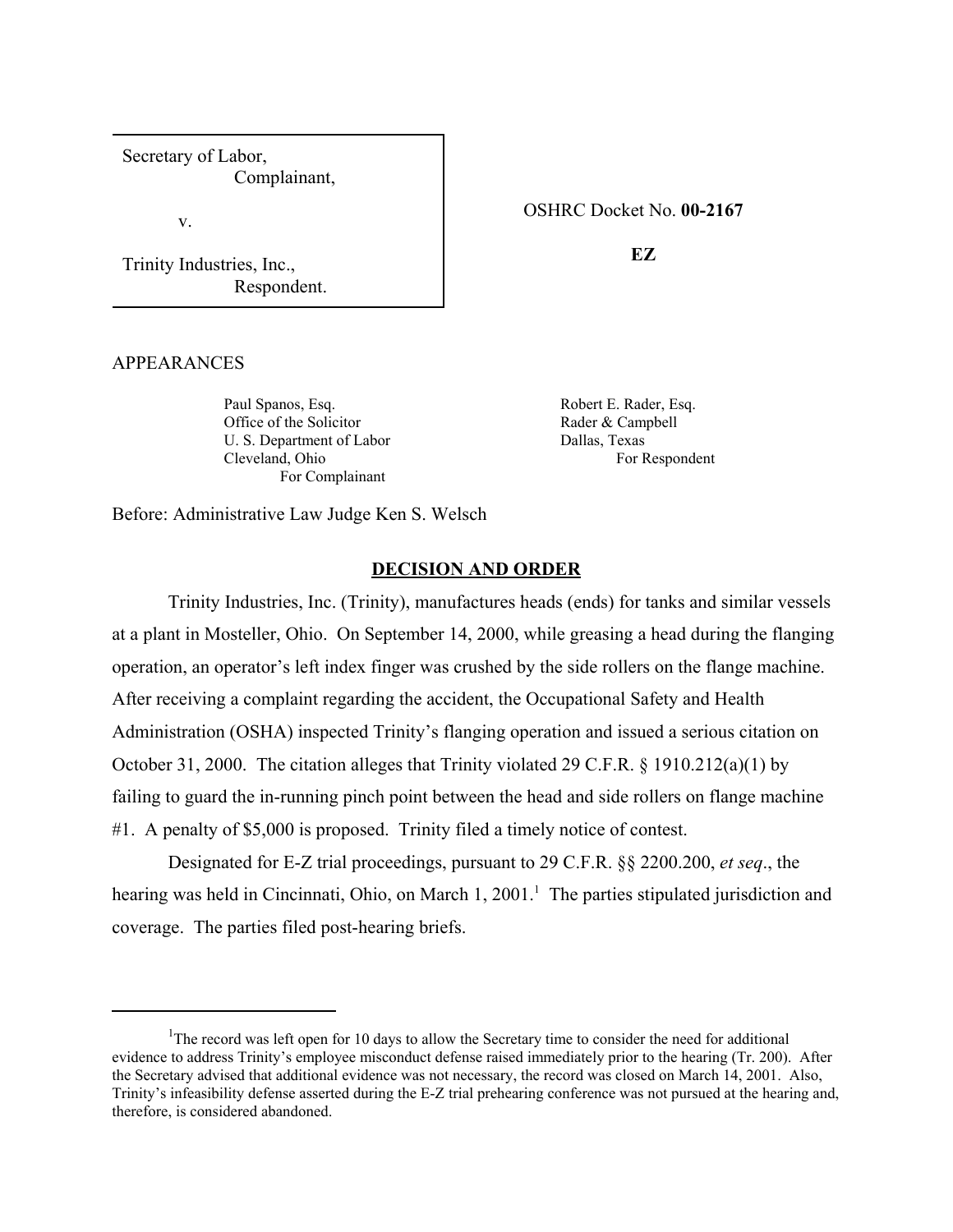Secretary of Labor, Complainant,

v.

Trinity Industries, Inc., Respondent. OSHRC Docket No. **00-2167** 

**EZ** 

### APPEARANCES

Paul Spanos, Esq. Office of the Solicitor U. S. Department of Labor Cleveland, Ohio For Complainant

Robert E. Rader, Esq. Rader & Campbell Dallas, Texas For Respondent

Before: Administrative Law Judge Ken S. Welsch

### **DECISION AND ORDER**

Trinity Industries, Inc. (Trinity), manufactures heads (ends) for tanks and similar vessels at a plant in Mosteller, Ohio. On September 14, 2000, while greasing a head during the flanging operation, an operator's left index finger was crushed by the side rollers on the flange machine. After receiving a complaint regarding the accident, the Occupational Safety and Health Administration (OSHA) inspected Trinity's flanging operation and issued a serious citation on October 31, 2000. The citation alleges that Trinity violated 29 C.F.R. § 1910.212(a)(1) by failing to guard the in-running pinch point between the head and side rollers on flange machine #1. A penalty of \$5,000 is proposed. Trinity filed a timely notice of contest.

Designated for E-Z trial proceedings, pursuant to 29 C.F.R. §§ 2200.200, *et seq*., the hearing was held in Cincinnati, Ohio, on March 1, 2001.<sup>1</sup> The parties stipulated jurisdiction and coverage. The parties filed post-hearing briefs.

<sup>&</sup>lt;sup>1</sup>The record was left open for 10 days to allow the Secretary time to consider the need for additional evidence to address Trinity's employee misconduct defense raised immediately prior to the hearing (Tr. 200). After the Secretary advised that additional evidence was not necessary, the record was closed on March 14, 2001. Also, Trinity's infeasibility defense asserted during the E-Z trial prehearing conference was not pursued at the hearing and, therefore, is considered abandoned.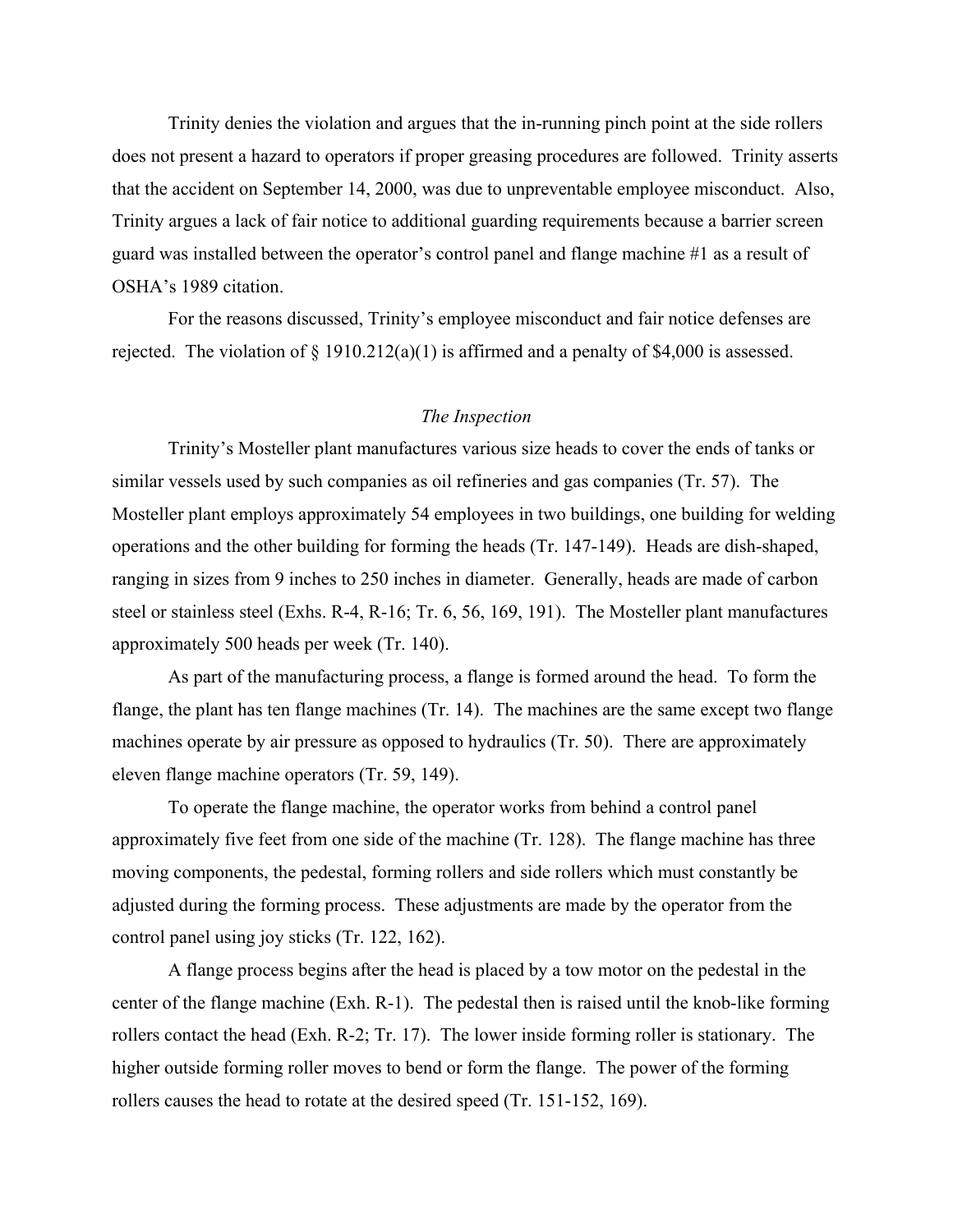Trinity denies the violation and argues that the in-running pinch point at the side rollers does not present a hazard to operators if proper greasing procedures are followed. Trinity asserts that the accident on September 14, 2000, was due to unpreventable employee misconduct. Also, Trinity argues a lack of fair notice to additional guarding requirements because a barrier screen guard was installed between the operator's control panel and flange machine #1 as a result of OSHA's 1989 citation.

For the reasons discussed, Trinity's employee misconduct and fair notice defenses are rejected. The violation of  $\S$  1910.212(a)(1) is affirmed and a penalty of \$4,000 is assessed.

### *The Inspection*

Trinity's Mosteller plant manufactures various size heads to cover the ends of tanks or similar vessels used by such companies as oil refineries and gas companies (Tr. 57). The Mosteller plant employs approximately 54 employees in two buildings, one building for welding operations and the other building for forming the heads (Tr. 147-149). Heads are dish-shaped, ranging in sizes from 9 inches to 250 inches in diameter. Generally, heads are made of carbon steel or stainless steel (Exhs. R-4, R-16; Tr. 6, 56, 169, 191). The Mosteller plant manufactures approximately 500 heads per week (Tr. 140).

As part of the manufacturing process, a flange is formed around the head. To form the flange, the plant has ten flange machines (Tr. 14). The machines are the same except two flange machines operate by air pressure as opposed to hydraulics (Tr. 50). There are approximately eleven flange machine operators (Tr. 59, 149).

To operate the flange machine, the operator works from behind a control panel approximately five feet from one side of the machine (Tr. 128). The flange machine has three moving components, the pedestal, forming rollers and side rollers which must constantly be adjusted during the forming process. These adjustments are made by the operator from the control panel using joy sticks (Tr. 122, 162).

A flange process begins after the head is placed by a tow motor on the pedestal in the center of the flange machine (Exh. R-1). The pedestal then is raised until the knob-like forming rollers contact the head (Exh. R-2; Tr. 17). The lower inside forming roller is stationary. The higher outside forming roller moves to bend or form the flange. The power of the forming rollers causes the head to rotate at the desired speed (Tr. 151-152, 169).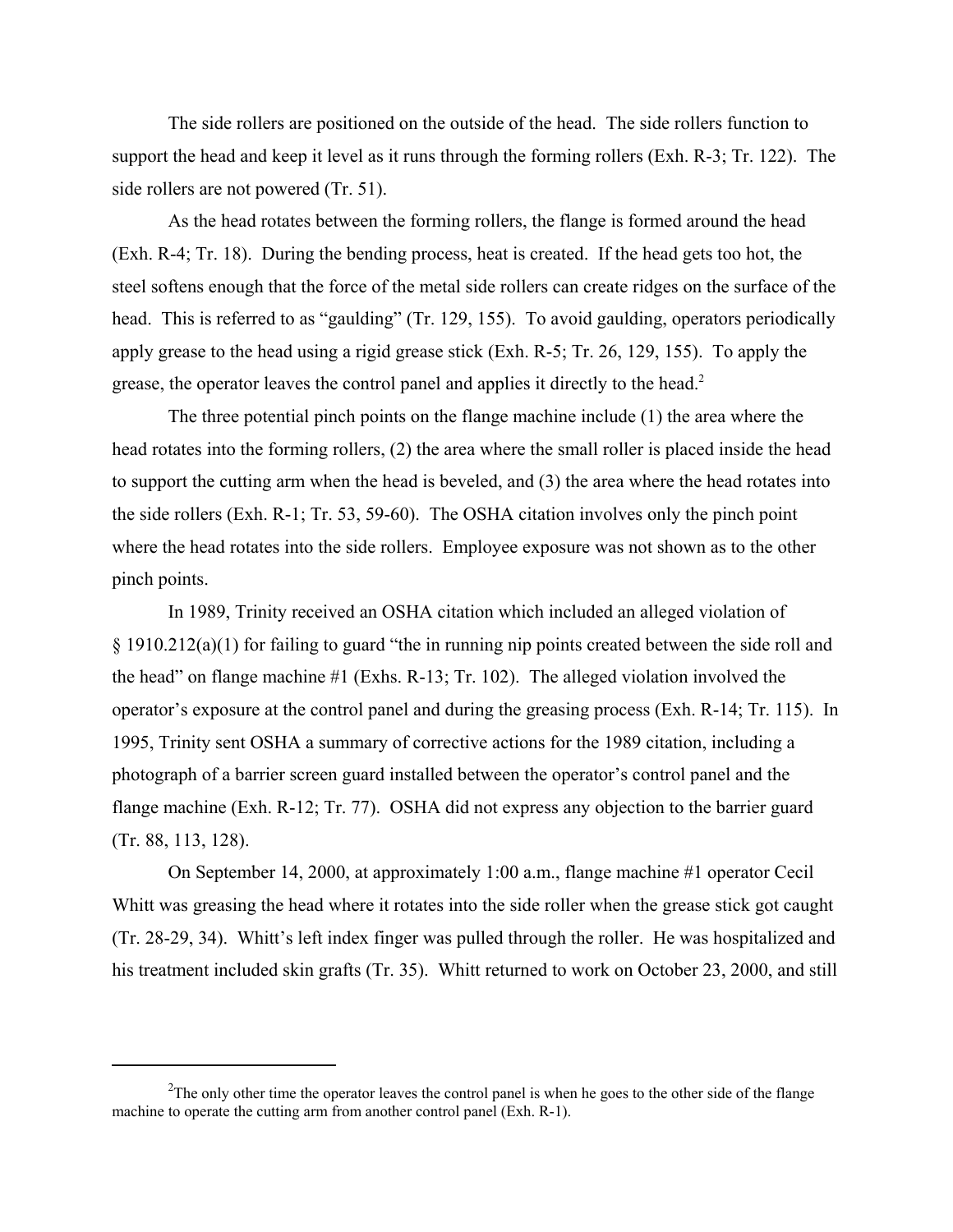The side rollers are positioned on the outside of the head. The side rollers function to support the head and keep it level as it runs through the forming rollers (Exh. R-3; Tr. 122). The side rollers are not powered (Tr. 51).

As the head rotates between the forming rollers, the flange is formed around the head (Exh. R-4; Tr. 18). During the bending process, heat is created. If the head gets too hot, the steel softens enough that the force of the metal side rollers can create ridges on the surface of the head. This is referred to as "gaulding" (Tr. 129, 155). To avoid gaulding, operators periodically apply grease to the head using a rigid grease stick (Exh. R-5; Tr. 26, 129, 155). To apply the grease, the operator leaves the control panel and applies it directly to the head.<sup>2</sup>

The three potential pinch points on the flange machine include (1) the area where the head rotates into the forming rollers, (2) the area where the small roller is placed inside the head to support the cutting arm when the head is beveled, and (3) the area where the head rotates into the side rollers (Exh. R-1; Tr. 53, 59-60). The OSHA citation involves only the pinch point where the head rotates into the side rollers. Employee exposure was not shown as to the other pinch points.

In 1989, Trinity received an OSHA citation which included an alleged violation of  $\S 1910.212(a)(1)$  for failing to guard "the in running nip points created between the side roll and the head" on flange machine #1 (Exhs. R-13; Tr. 102). The alleged violation involved the operator's exposure at the control panel and during the greasing process (Exh. R-14; Tr. 115). In 1995, Trinity sent OSHA a summary of corrective actions for the 1989 citation, including a photograph of a barrier screen guard installed between the operator's control panel and the flange machine (Exh. R-12; Tr. 77). OSHA did not express any objection to the barrier guard (Tr. 88, 113, 128).

On September 14, 2000, at approximately 1:00 a.m., flange machine #1 operator Cecil Whitt was greasing the head where it rotates into the side roller when the grease stick got caught (Tr. 28-29, 34). Whitt's left index finger was pulled through the roller. He was hospitalized and his treatment included skin grafts (Tr. 35). Whitt returned to work on October 23, 2000, and still

 $2$ The only other time the operator leaves the control panel is when he goes to the other side of the flange machine to operate the cutting arm from another control panel (Exh. R-1).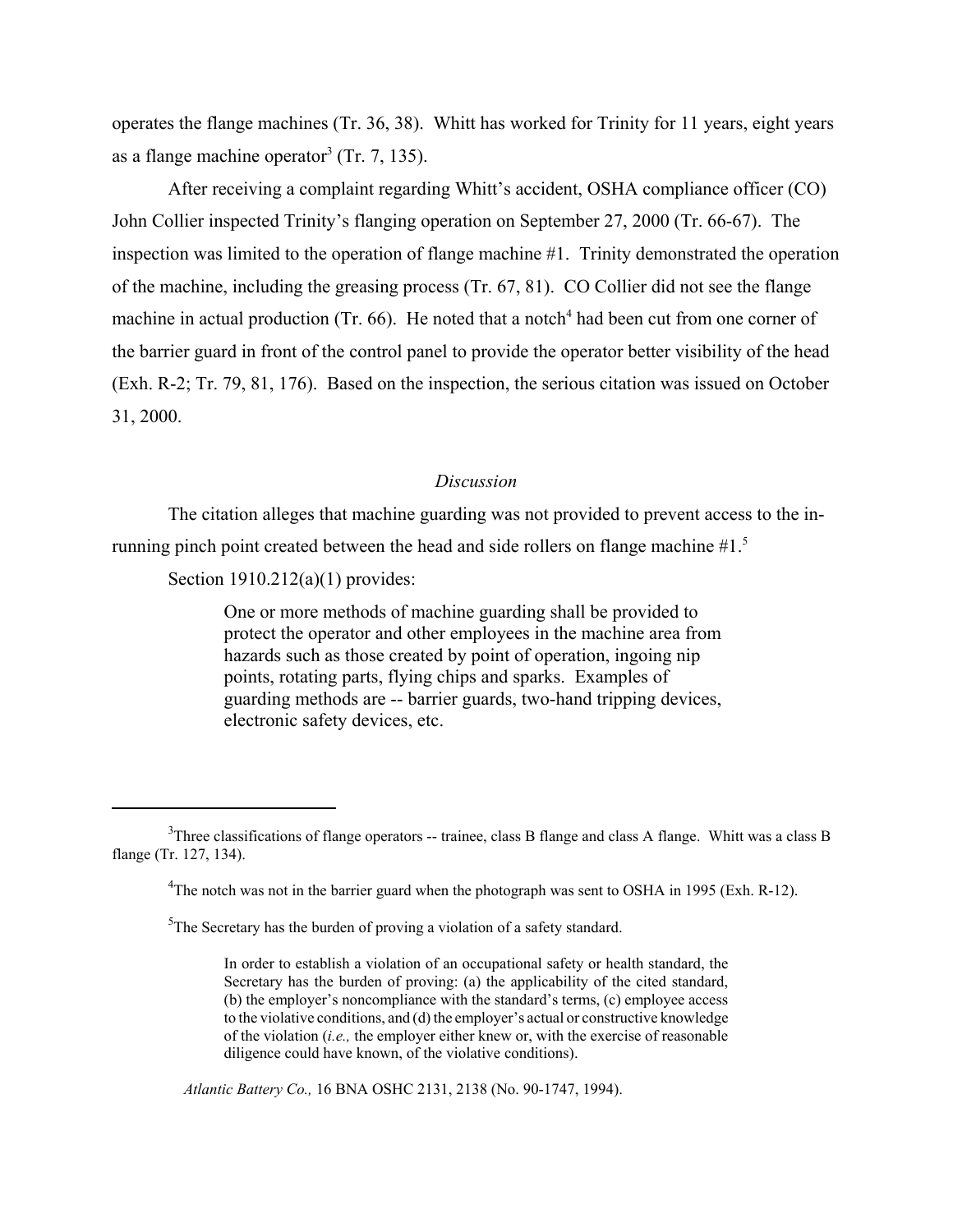operates the flange machines (Tr. 36, 38). Whitt has worked for Trinity for 11 years, eight years as a flange machine operator<sup>3</sup> (Tr. 7, 135).

After receiving a complaint regarding Whitt's accident, OSHA compliance officer (CO) John Collier inspected Trinity's flanging operation on September 27, 2000 (Tr. 66-67). The inspection was limited to the operation of flange machine #1. Trinity demonstrated the operation of the machine, including the greasing process (Tr. 67, 81). CO Collier did not see the flange machine in actual production (Tr. 66). He noted that a notch<sup>4</sup> had been cut from one corner of the barrier guard in front of the control panel to provide the operator better visibility of the head (Exh. R-2; Tr. 79, 81, 176). Based on the inspection, the serious citation was issued on October 31, 2000.

#### *Discussion*

The citation alleges that machine guarding was not provided to prevent access to the inrunning pinch point created between the head and side rollers on flange machine #1.5

Section 1910.212(a)(1) provides:

One or more methods of machine guarding shall be provided to protect the operator and other employees in the machine area from hazards such as those created by point of operation, ingoing nip points, rotating parts, flying chips and sparks. Examples of guarding methods are -- barrier guards, two-hand tripping devices, electronic safety devices, etc.

*Atlantic Battery Co.,* 16 BNA OSHC 2131, 2138 (No. 90-1747, 1994).

 $3$ Three classifications of flange operators -- trainee, class B flange and class A flange. Whitt was a class B flange (Tr. 127, 134).

<sup>&</sup>lt;sup>4</sup>The notch was not in the barrier guard when the photograph was sent to OSHA in 1995 (Exh. R-12).

 $5$ The Secretary has the burden of proving a violation of a safety standard.

In order to establish a violation of an occupational safety or health standard, the Secretary has the burden of proving: (a) the applicability of the cited standard, (b) the employer's noncompliance with the standard's terms, (c) employee access to the violative conditions, and (d) the employer's actual or constructive knowledge of the violation (*i.e.,* the employer either knew or, with the exercise of reasonable diligence could have known, of the violative conditions).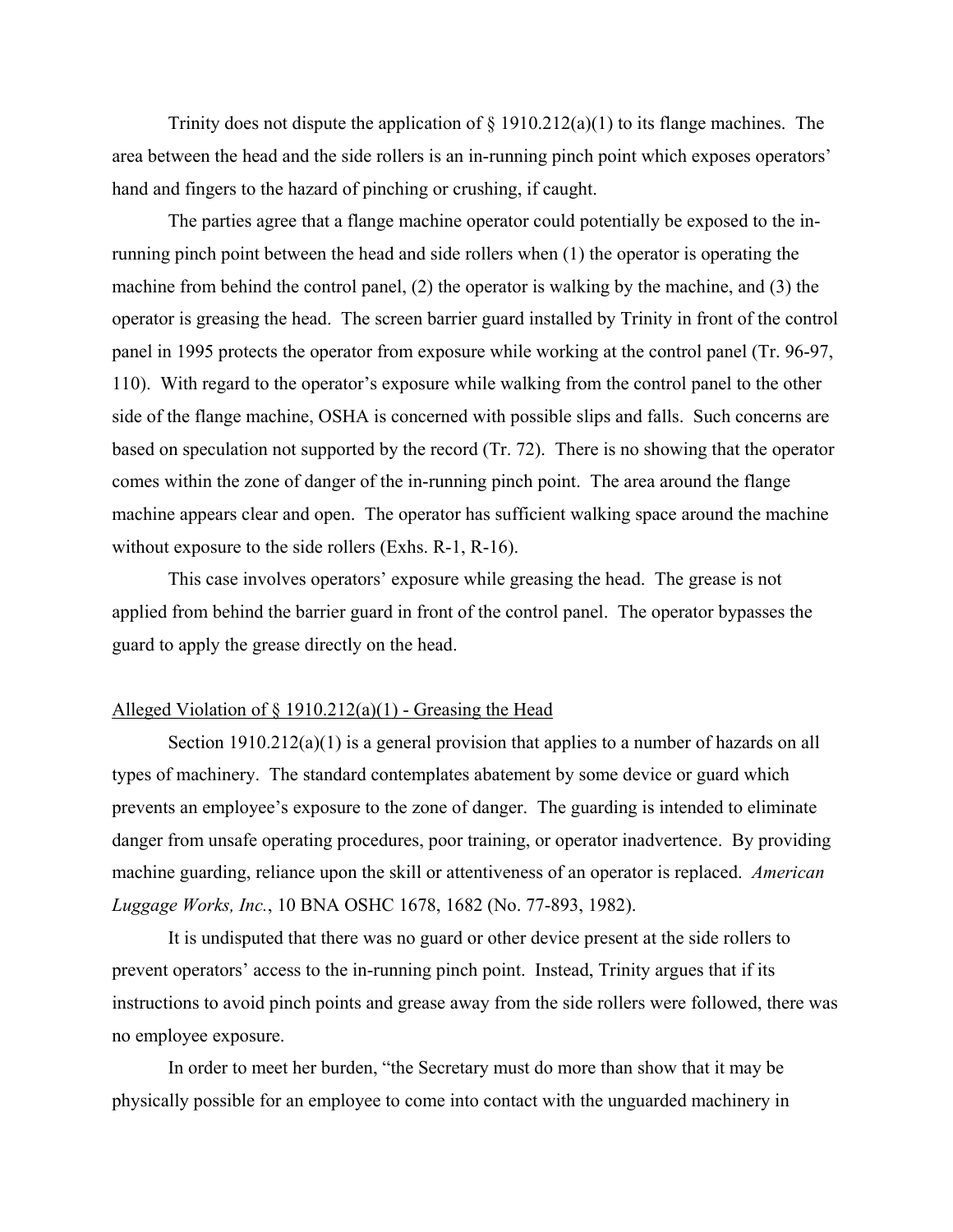Trinity does not dispute the application of  $\S$  1910.212(a)(1) to its flange machines. The area between the head and the side rollers is an in-running pinch point which exposes operators' hand and fingers to the hazard of pinching or crushing, if caught.

The parties agree that a flange machine operator could potentially be exposed to the inrunning pinch point between the head and side rollers when (1) the operator is operating the machine from behind the control panel, (2) the operator is walking by the machine, and (3) the operator is greasing the head. The screen barrier guard installed by Trinity in front of the control panel in 1995 protects the operator from exposure while working at the control panel (Tr. 96-97, 110). With regard to the operator's exposure while walking from the control panel to the other side of the flange machine, OSHA is concerned with possible slips and falls. Such concerns are based on speculation not supported by the record (Tr. 72). There is no showing that the operator comes within the zone of danger of the in-running pinch point. The area around the flange machine appears clear and open. The operator has sufficient walking space around the machine without exposure to the side rollers (Exhs. R-1, R-16).

This case involves operators' exposure while greasing the head. The grease is not applied from behind the barrier guard in front of the control panel. The operator bypasses the guard to apply the grease directly on the head.

### Alleged Violation of  $\S 1910.212(a)(1)$  - Greasing the Head

Section 1910.212(a)(1) is a general provision that applies to a number of hazards on all types of machinery. The standard contemplates abatement by some device or guard which prevents an employee's exposure to the zone of danger. The guarding is intended to eliminate danger from unsafe operating procedures, poor training, or operator inadvertence. By providing machine guarding, reliance upon the skill or attentiveness of an operator is replaced. *American Luggage Works, Inc.*, 10 BNA OSHC 1678, 1682 (No. 77-893, 1982).

It is undisputed that there was no guard or other device present at the side rollers to prevent operators' access to the in-running pinch point. Instead, Trinity argues that if its instructions to avoid pinch points and grease away from the side rollers were followed, there was no employee exposure.

In order to meet her burden, "the Secretary must do more than show that it may be physically possible for an employee to come into contact with the unguarded machinery in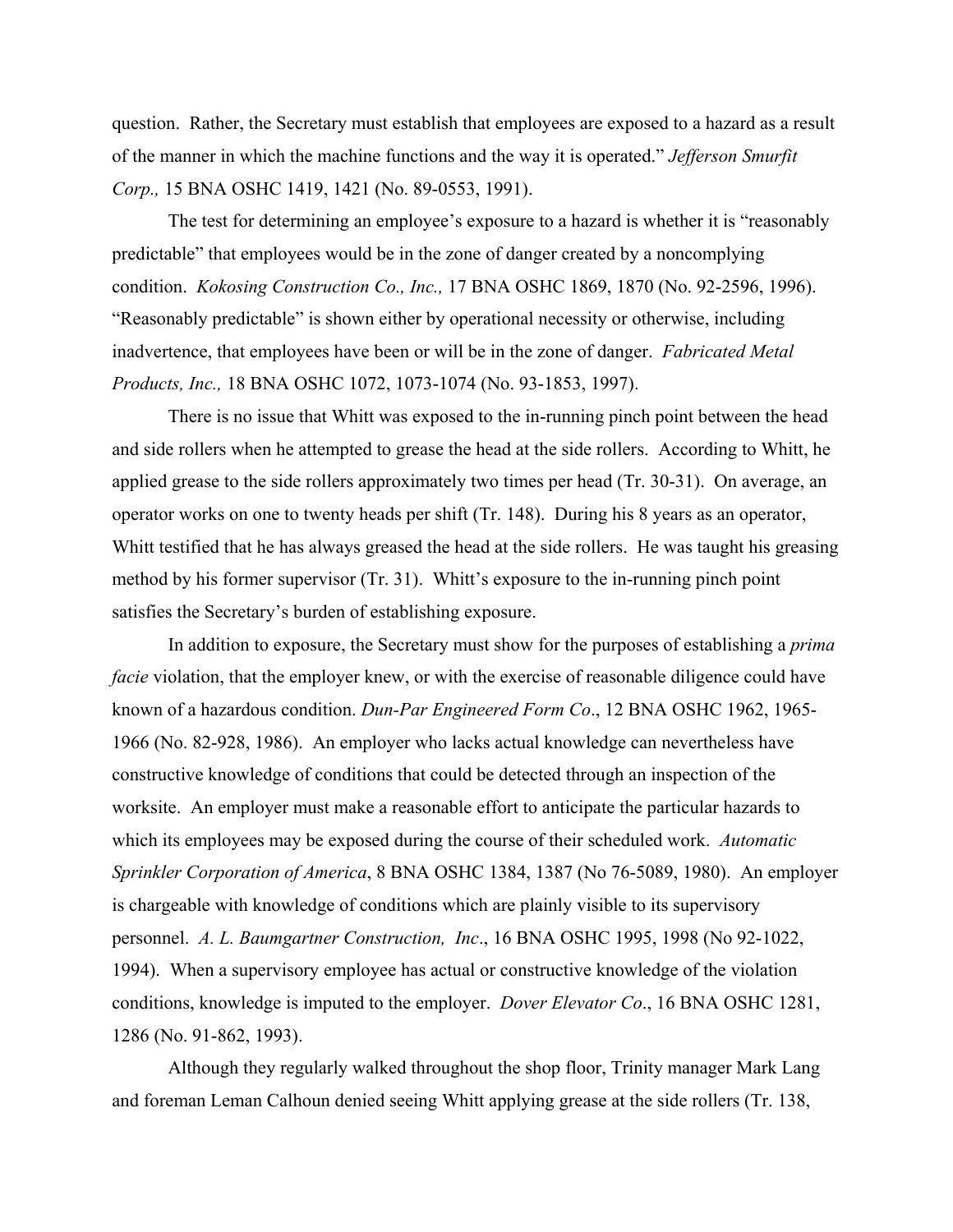question. Rather, the Secretary must establish that employees are exposed to a hazard as a result of the manner in which the machine functions and the way it is operated." *Jefferson Smurfit Corp.,* 15 BNA OSHC 1419, 1421 (No. 89-0553, 1991).

The test for determining an employee's exposure to a hazard is whether it is "reasonably predictable" that employees would be in the zone of danger created by a noncomplying condition. *Kokosing Construction Co., Inc.,* 17 BNA OSHC 1869, 1870 (No. 92-2596, 1996). "Reasonably predictable" is shown either by operational necessity or otherwise, including inadvertence, that employees have been or will be in the zone of danger. *Fabricated Metal Products, Inc.,* 18 BNA OSHC 1072, 1073-1074 (No. 93-1853, 1997).

There is no issue that Whitt was exposed to the in-running pinch point between the head and side rollers when he attempted to grease the head at the side rollers. According to Whitt, he applied grease to the side rollers approximately two times per head (Tr. 30-31). On average, an operator works on one to twenty heads per shift (Tr. 148). During his 8 years as an operator, Whitt testified that he has always greased the head at the side rollers. He was taught his greasing method by his former supervisor (Tr. 31). Whitt's exposure to the in-running pinch point satisfies the Secretary's burden of establishing exposure.

In addition to exposure, the Secretary must show for the purposes of establishing a *prima facie* violation, that the employer knew, or with the exercise of reasonable diligence could have known of a hazardous condition. *Dun-Par Engineered Form Co*., 12 BNA OSHC 1962, 1965- 1966 (No. 82-928, 1986). An employer who lacks actual knowledge can nevertheless have constructive knowledge of conditions that could be detected through an inspection of the worksite. An employer must make a reasonable effort to anticipate the particular hazards to which its employees may be exposed during the course of their scheduled work. *Automatic Sprinkler Corporation of America*, 8 BNA OSHC 1384, 1387 (No 76-5089, 1980). An employer is chargeable with knowledge of conditions which are plainly visible to its supervisory personnel. *A. L. Baumgartner Construction, Inc*., 16 BNA OSHC 1995, 1998 (No 92-1022, 1994). When a supervisory employee has actual or constructive knowledge of the violation conditions, knowledge is imputed to the employer. *Dover Elevator Co*., 16 BNA OSHC 1281, 1286 (No. 91-862, 1993).

Although they regularly walked throughout the shop floor, Trinity manager Mark Lang and foreman Leman Calhoun denied seeing Whitt applying grease at the side rollers (Tr. 138,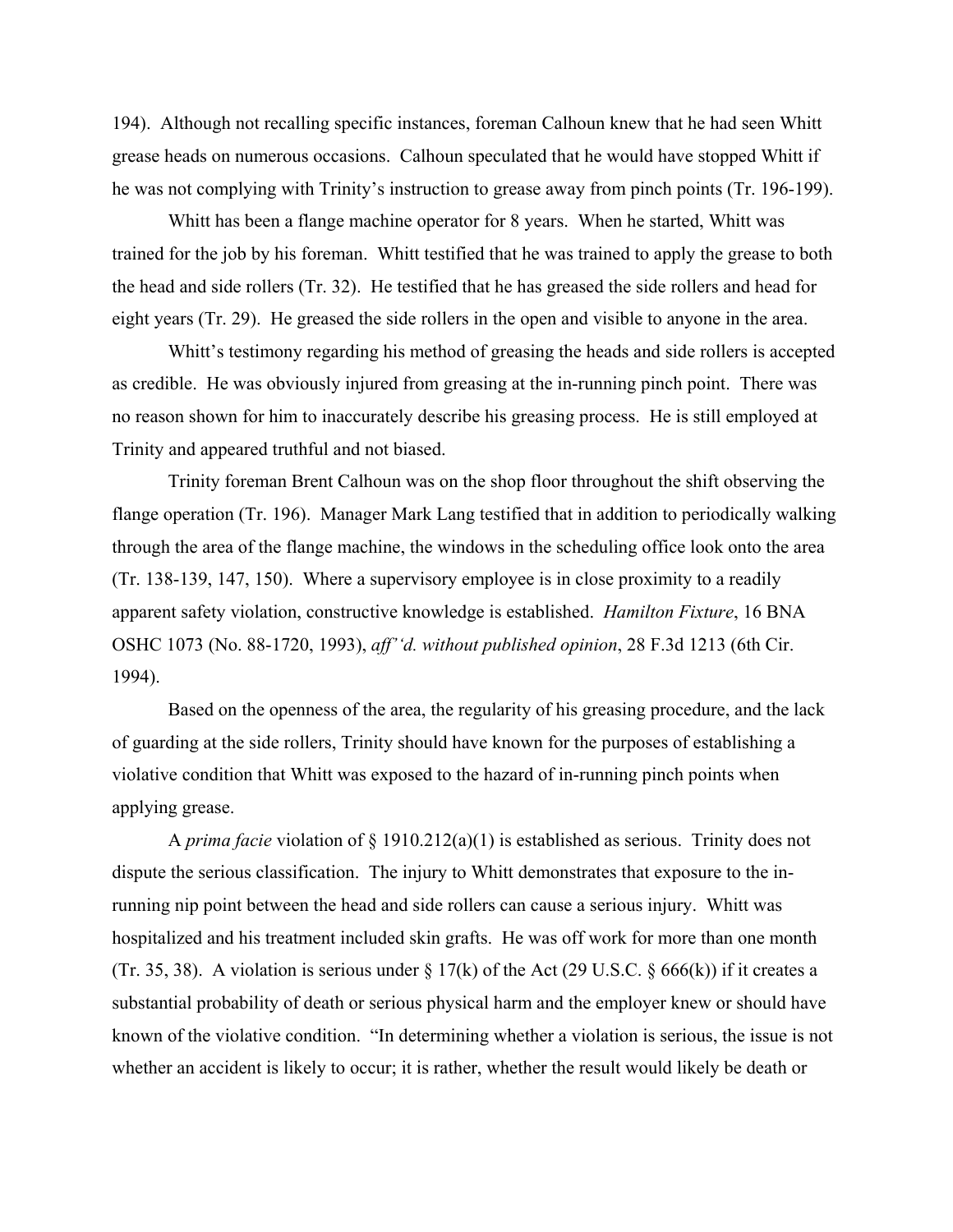194). Although not recalling specific instances, foreman Calhoun knew that he had seen Whitt grease heads on numerous occasions. Calhoun speculated that he would have stopped Whitt if he was not complying with Trinity's instruction to grease away from pinch points (Tr. 196-199).

Whitt has been a flange machine operator for 8 years. When he started, Whitt was trained for the job by his foreman. Whitt testified that he was trained to apply the grease to both the head and side rollers (Tr. 32). He testified that he has greased the side rollers and head for eight years (Tr. 29). He greased the side rollers in the open and visible to anyone in the area.

Whitt's testimony regarding his method of greasing the heads and side rollers is accepted as credible. He was obviously injured from greasing at the in-running pinch point. There was no reason shown for him to inaccurately describe his greasing process. He is still employed at Trinity and appeared truthful and not biased.

Trinity foreman Brent Calhoun was on the shop floor throughout the shift observing the flange operation (Tr. 196). Manager Mark Lang testified that in addition to periodically walking through the area of the flange machine, the windows in the scheduling office look onto the area (Tr. 138-139, 147, 150). Where a supervisory employee is in close proximity to a readily apparent safety violation, constructive knowledge is established. *Hamilton Fixture*, 16 BNA OSHC 1073 (No. 88-1720, 1993), *aff''d. without published opinion*, 28 F.3d 1213 (6th Cir. 1994).

Based on the openness of the area, the regularity of his greasing procedure, and the lack of guarding at the side rollers, Trinity should have known for the purposes of establishing a violative condition that Whitt was exposed to the hazard of in-running pinch points when applying grease.

A *prima facie* violation of § 1910.212(a)(1) is established as serious. Trinity does not dispute the serious classification. The injury to Whitt demonstrates that exposure to the inrunning nip point between the head and side rollers can cause a serious injury. Whitt was hospitalized and his treatment included skin grafts. He was off work for more than one month (Tr. 35, 38). A violation is serious under  $\S 17(k)$  of the Act (29 U.S.C.  $\S 666(k)$ ) if it creates a substantial probability of death or serious physical harm and the employer knew or should have known of the violative condition. "In determining whether a violation is serious, the issue is not whether an accident is likely to occur; it is rather, whether the result would likely be death or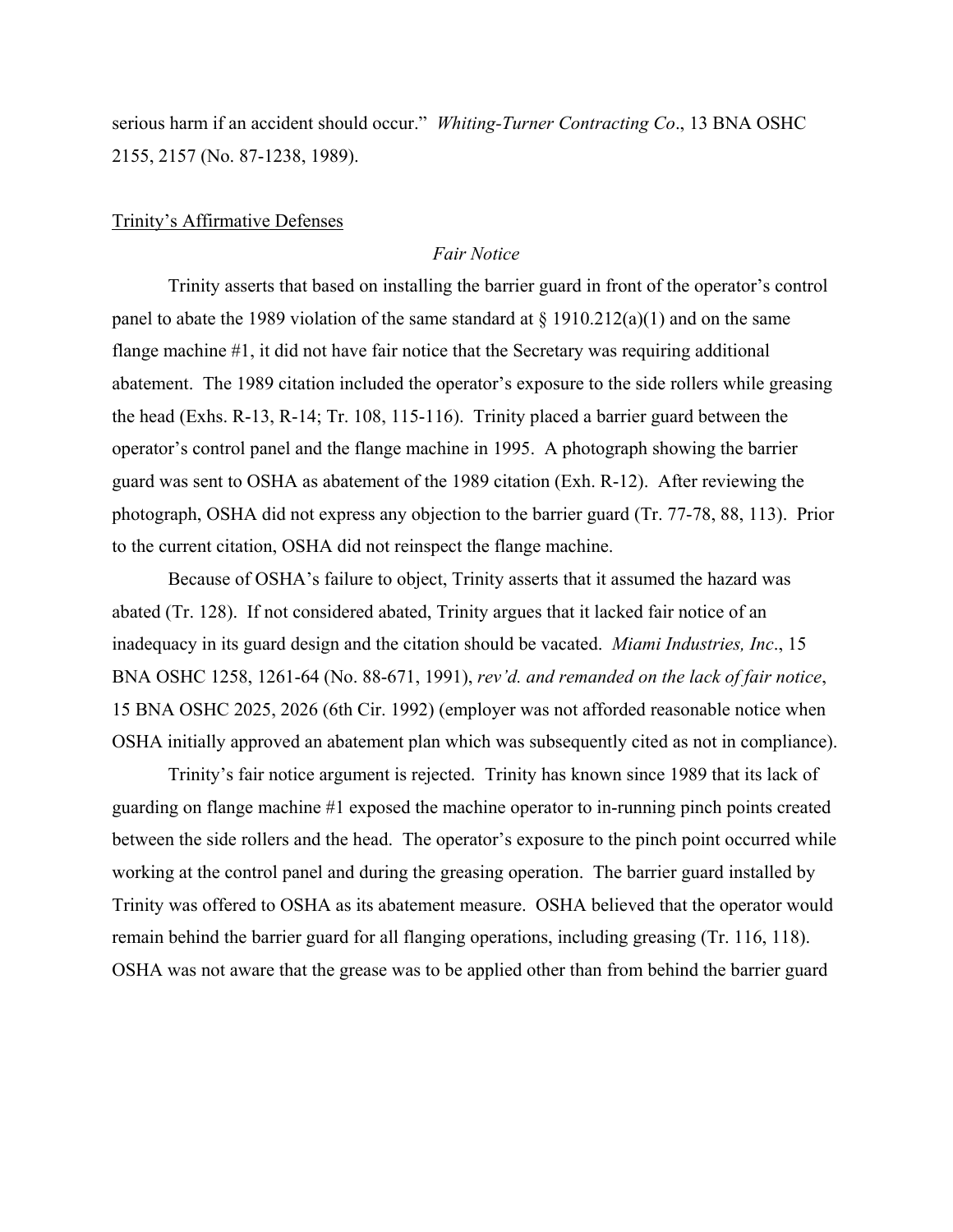serious harm if an accident should occur." *Whiting-Turner Contracting Co*., 13 BNA OSHC 2155, 2157 (No. 87-1238, 1989).

# Trinity's Affirmative Defenses

### *Fair Notice*

Trinity asserts that based on installing the barrier guard in front of the operator's control panel to abate the 1989 violation of the same standard at  $\S$  1910.212(a)(1) and on the same flange machine #1, it did not have fair notice that the Secretary was requiring additional abatement. The 1989 citation included the operator's exposure to the side rollers while greasing the head (Exhs. R-13, R-14; Tr. 108, 115-116). Trinity placed a barrier guard between the operator's control panel and the flange machine in 1995. A photograph showing the barrier guard was sent to OSHA as abatement of the 1989 citation (Exh. R-12). After reviewing the photograph, OSHA did not express any objection to the barrier guard (Tr. 77-78, 88, 113). Prior to the current citation, OSHA did not reinspect the flange machine.

Because of OSHA's failure to object, Trinity asserts that it assumed the hazard was abated (Tr. 128). If not considered abated, Trinity argues that it lacked fair notice of an inadequacy in its guard design and the citation should be vacated. *Miami Industries, Inc*., 15 BNA OSHC 1258, 1261-64 (No. 88-671, 1991), *rev'd. and remanded on the lack of fair notice*, 15 BNA OSHC 2025, 2026 (6th Cir. 1992) (employer was not afforded reasonable notice when OSHA initially approved an abatement plan which was subsequently cited as not in compliance).

Trinity's fair notice argument is rejected. Trinity has known since 1989 that its lack of guarding on flange machine #1 exposed the machine operator to in-running pinch points created between the side rollers and the head. The operator's exposure to the pinch point occurred while working at the control panel and during the greasing operation. The barrier guard installed by Trinity was offered to OSHA as its abatement measure. OSHA believed that the operator would remain behind the barrier guard for all flanging operations, including greasing (Tr. 116, 118). OSHA was not aware that the grease was to be applied other than from behind the barrier guard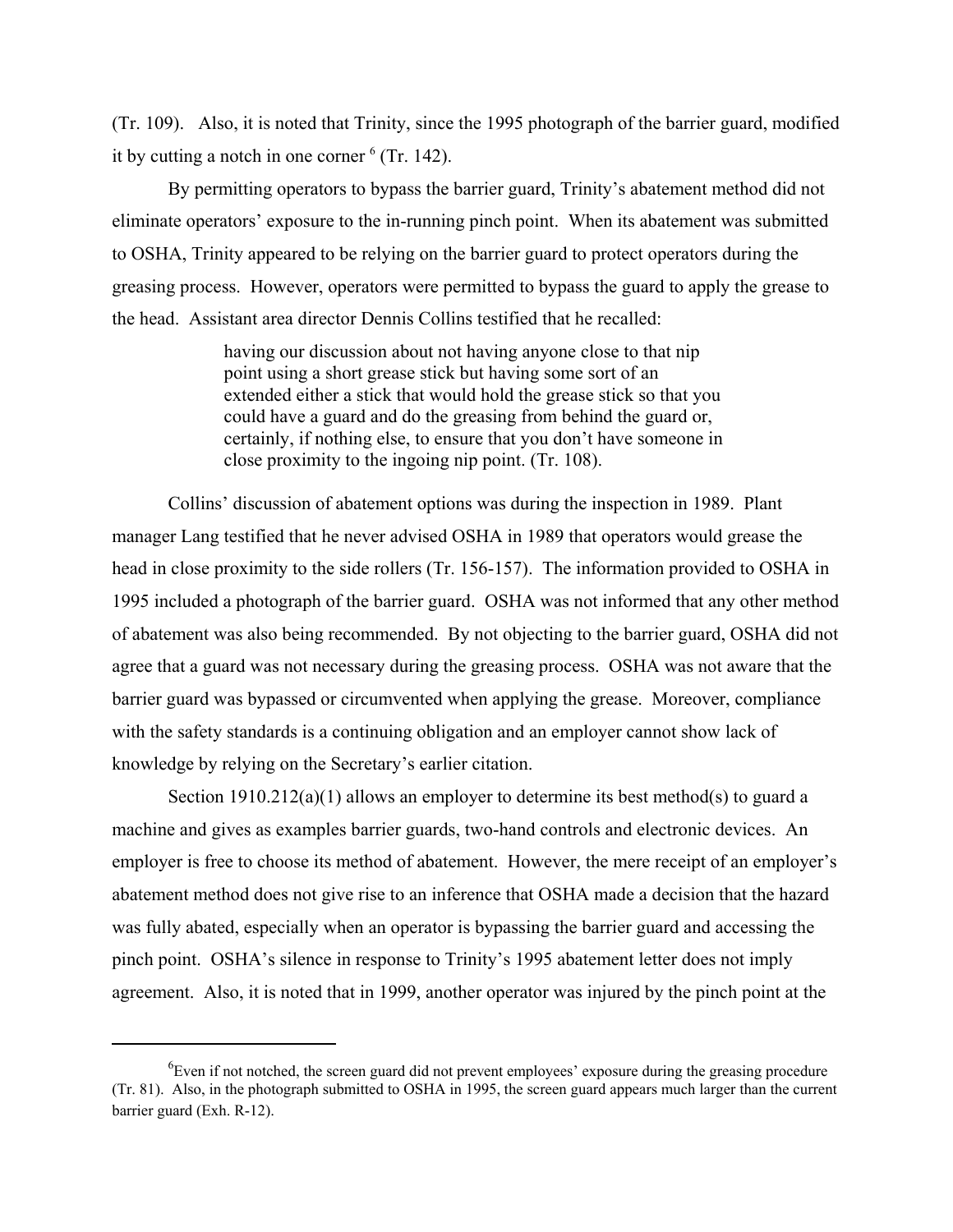(Tr. 109). Also, it is noted that Trinity, since the 1995 photograph of the barrier guard, modified it by cutting a notch in one corner  $6$  (Tr. 142).

By permitting operators to bypass the barrier guard, Trinity's abatement method did not eliminate operators' exposure to the in-running pinch point. When its abatement was submitted to OSHA, Trinity appeared to be relying on the barrier guard to protect operators during the greasing process. However, operators were permitted to bypass the guard to apply the grease to the head. Assistant area director Dennis Collins testified that he recalled:

> having our discussion about not having anyone close to that nip point using a short grease stick but having some sort of an extended either a stick that would hold the grease stick so that you could have a guard and do the greasing from behind the guard or, certainly, if nothing else, to ensure that you don't have someone in close proximity to the ingoing nip point. (Tr. 108).

Collins' discussion of abatement options was during the inspection in 1989. Plant manager Lang testified that he never advised OSHA in 1989 that operators would grease the head in close proximity to the side rollers (Tr. 156-157). The information provided to OSHA in 1995 included a photograph of the barrier guard. OSHA was not informed that any other method of abatement was also being recommended. By not objecting to the barrier guard, OSHA did not agree that a guard was not necessary during the greasing process. OSHA was not aware that the barrier guard was bypassed or circumvented when applying the grease. Moreover, compliance with the safety standards is a continuing obligation and an employer cannot show lack of knowledge by relying on the Secretary's earlier citation.

Section  $1910.212(a)(1)$  allows an employer to determine its best method(s) to guard a machine and gives as examples barrier guards, two-hand controls and electronic devices. An employer is free to choose its method of abatement. However, the mere receipt of an employer's abatement method does not give rise to an inference that OSHA made a decision that the hazard was fully abated, especially when an operator is bypassing the barrier guard and accessing the pinch point. OSHA's silence in response to Trinity's 1995 abatement letter does not imply agreement. Also, it is noted that in 1999, another operator was injured by the pinch point at the

 ${}^{6}$ Even if not notched, the screen guard did not prevent employees' exposure during the greasing procedure (Tr. 81). Also, in the photograph submitted to OSHA in 1995, the screen guard appears much larger than the current barrier guard (Exh. R-12).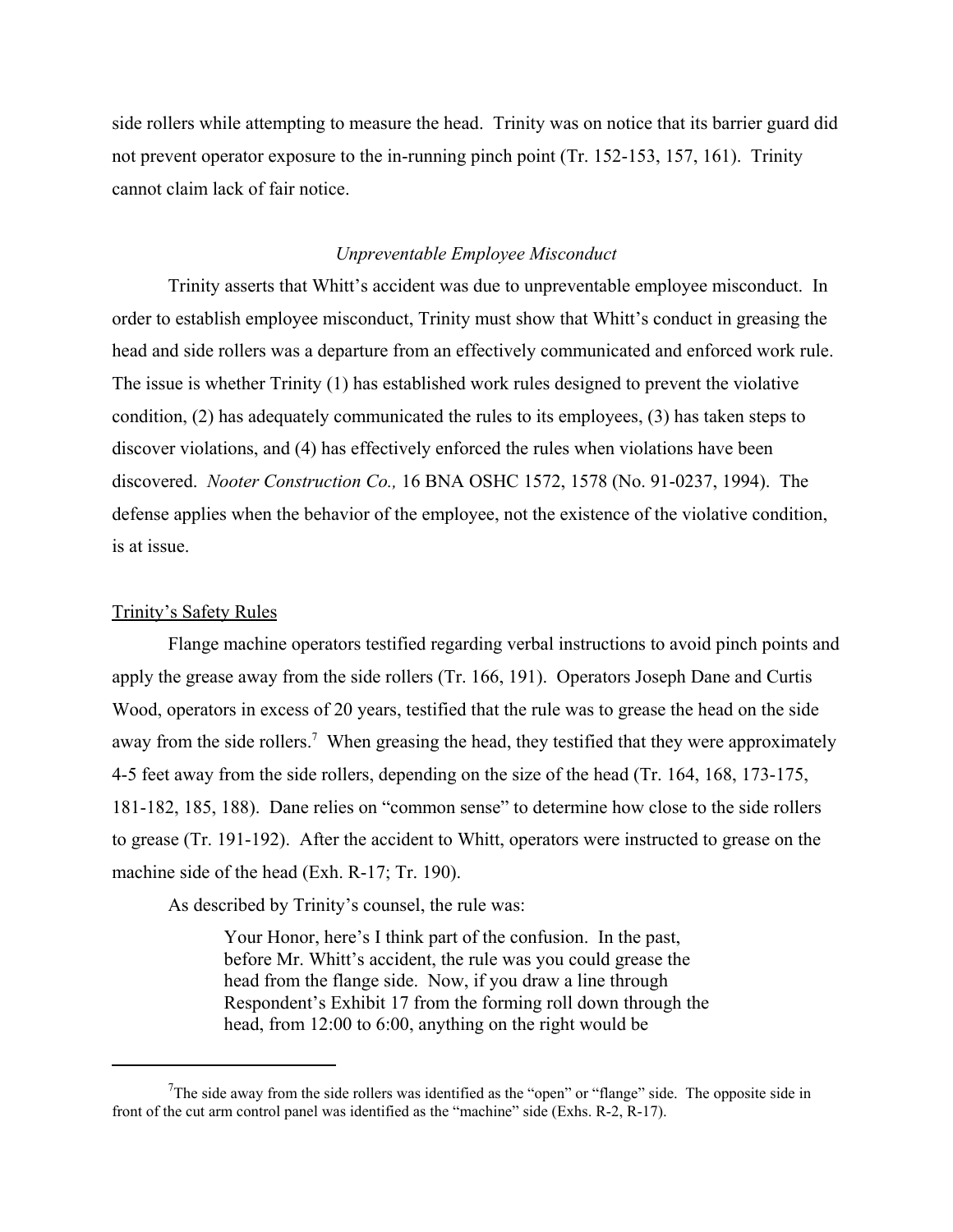side rollers while attempting to measure the head. Trinity was on notice that its barrier guard did not prevent operator exposure to the in-running pinch point (Tr. 152-153, 157, 161). Trinity cannot claim lack of fair notice.

### *Unpreventable Employee Misconduct*

Trinity asserts that Whitt's accident was due to unpreventable employee misconduct. In order to establish employee misconduct, Trinity must show that Whitt's conduct in greasing the head and side rollers was a departure from an effectively communicated and enforced work rule. The issue is whether Trinity (1) has established work rules designed to prevent the violative condition, (2) has adequately communicated the rules to its employees, (3) has taken steps to discover violations, and (4) has effectively enforced the rules when violations have been discovered. *Nooter Construction Co.,* 16 BNA OSHC 1572, 1578 (No. 91-0237, 1994). The defense applies when the behavior of the employee, not the existence of the violative condition, is at issue.

### Trinity's Safety Rules

Flange machine operators testified regarding verbal instructions to avoid pinch points and apply the grease away from the side rollers (Tr. 166, 191). Operators Joseph Dane and Curtis Wood, operators in excess of 20 years, testified that the rule was to grease the head on the side away from the side rollers.<sup>7</sup> When greasing the head, they testified that they were approximately 4-5 feet away from the side rollers, depending on the size of the head (Tr. 164, 168, 173-175, 181-182, 185, 188). Dane relies on "common sense" to determine how close to the side rollers to grease (Tr. 191-192). After the accident to Whitt, operators were instructed to grease on the machine side of the head (Exh. R-17; Tr. 190).

As described by Trinity's counsel, the rule was:

Your Honor, here's I think part of the confusion. In the past, before Mr. Whitt's accident, the rule was you could grease the head from the flange side. Now, if you draw a line through Respondent's Exhibit 17 from the forming roll down through the head, from 12:00 to 6:00, anything on the right would be

<sup>&</sup>lt;sup>7</sup>The side away from the side rollers was identified as the "open" or "flange" side. The opposite side in front of the cut arm control panel was identified as the "machine" side (Exhs. R-2, R-17).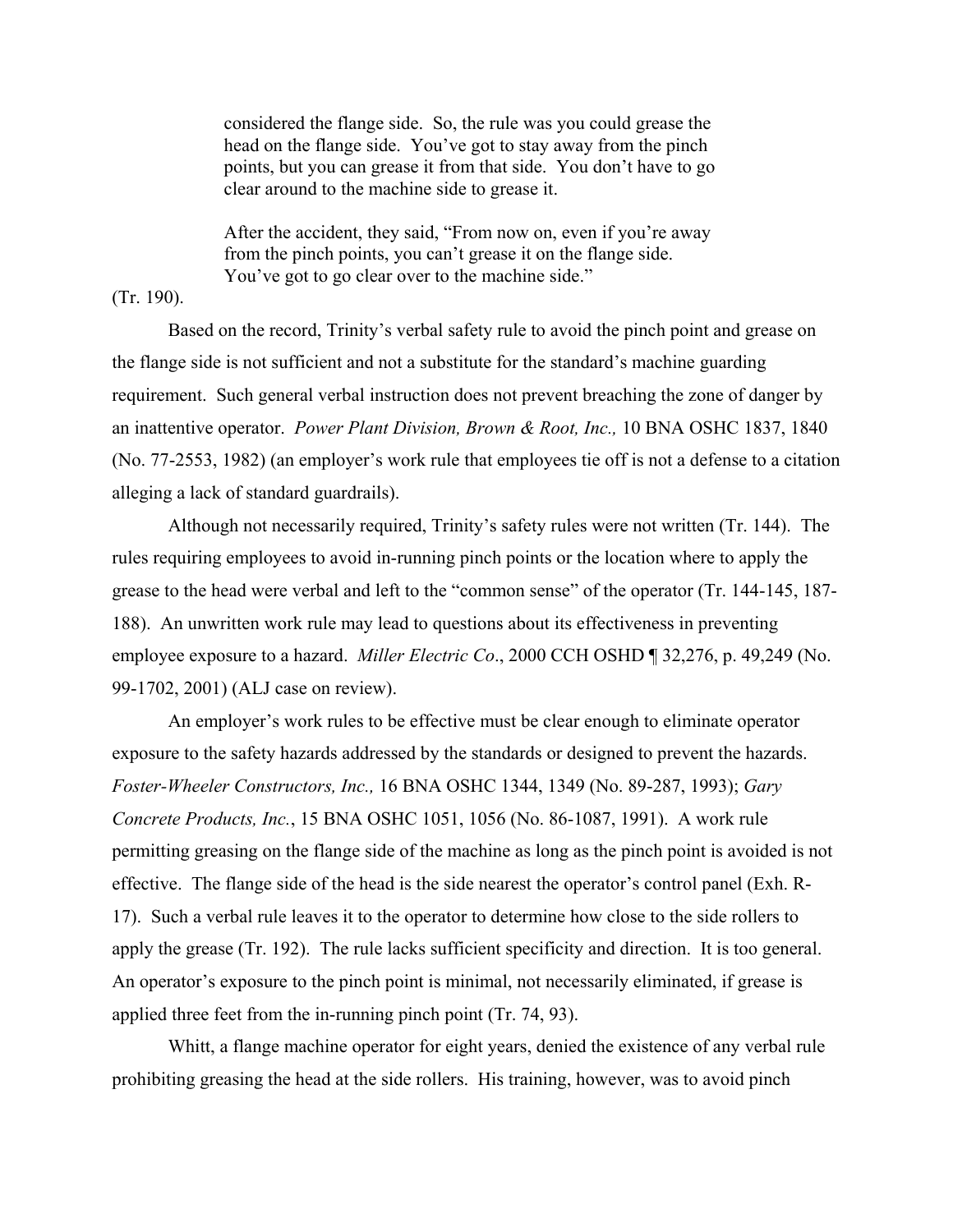considered the flange side. So, the rule was you could grease the head on the flange side. You've got to stay away from the pinch points, but you can grease it from that side. You don't have to go clear around to the machine side to grease it.

After the accident, they said, "From now on, even if you're away from the pinch points, you can't grease it on the flange side. You've got to go clear over to the machine side."

# (Tr. 190).

Based on the record, Trinity's verbal safety rule to avoid the pinch point and grease on the flange side is not sufficient and not a substitute for the standard's machine guarding requirement. Such general verbal instruction does not prevent breaching the zone of danger by an inattentive operator. *Power Plant Division, Brown & Root, Inc.,* 10 BNA OSHC 1837, 1840 (No. 77-2553, 1982) (an employer's work rule that employees tie off is not a defense to a citation alleging a lack of standard guardrails).

Although not necessarily required, Trinity's safety rules were not written (Tr. 144). The rules requiring employees to avoid in-running pinch points or the location where to apply the grease to the head were verbal and left to the "common sense" of the operator (Tr. 144-145, 187- 188). An unwritten work rule may lead to questions about its effectiveness in preventing employee exposure to a hazard. *Miller Electric Co*., 2000 CCH OSHD ¶ 32,276, p. 49,249 (No. 99-1702, 2001) (ALJ case on review).

An employer's work rules to be effective must be clear enough to eliminate operator exposure to the safety hazards addressed by the standards or designed to prevent the hazards. *Foster-Wheeler Constructors, Inc.,* 16 BNA OSHC 1344, 1349 (No. 89-287, 1993); *Gary Concrete Products, Inc.*, 15 BNA OSHC 1051, 1056 (No. 86-1087, 1991). A work rule permitting greasing on the flange side of the machine as long as the pinch point is avoided is not effective. The flange side of the head is the side nearest the operator's control panel (Exh. R-17). Such a verbal rule leaves it to the operator to determine how close to the side rollers to apply the grease (Tr. 192). The rule lacks sufficient specificity and direction. It is too general. An operator's exposure to the pinch point is minimal, not necessarily eliminated, if grease is applied three feet from the in-running pinch point (Tr. 74, 93).

Whitt, a flange machine operator for eight years, denied the existence of any verbal rule prohibiting greasing the head at the side rollers. His training, however, was to avoid pinch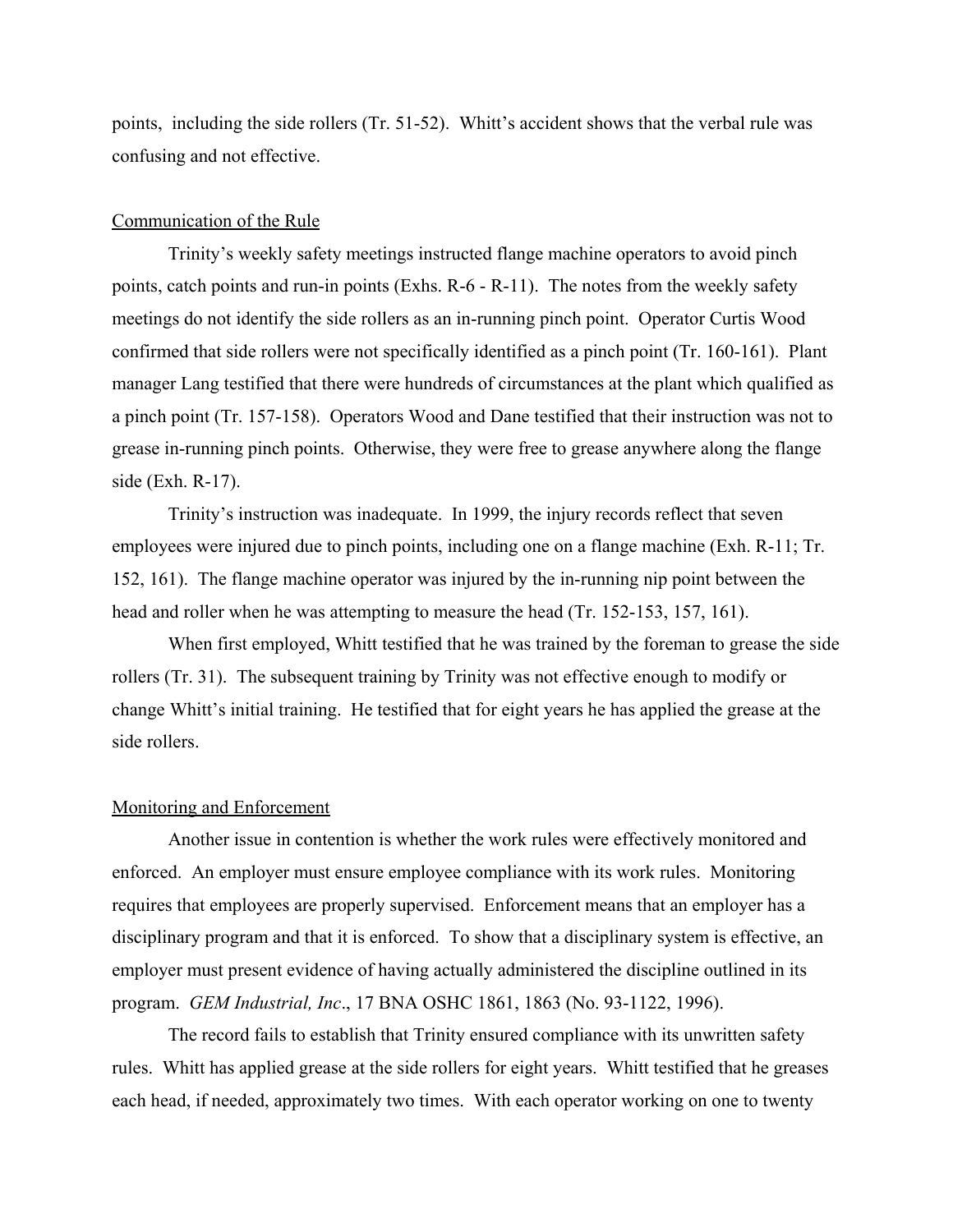points, including the side rollers (Tr. 51-52). Whitt's accident shows that the verbal rule was confusing and not effective.

# Communication of the Rule

Trinity's weekly safety meetings instructed flange machine operators to avoid pinch points, catch points and run-in points (Exhs. R-6 - R-11). The notes from the weekly safety meetings do not identify the side rollers as an in-running pinch point. Operator Curtis Wood confirmed that side rollers were not specifically identified as a pinch point (Tr. 160-161). Plant manager Lang testified that there were hundreds of circumstances at the plant which qualified as a pinch point (Tr. 157-158). Operators Wood and Dane testified that their instruction was not to grease in-running pinch points. Otherwise, they were free to grease anywhere along the flange side (Exh. R-17).

Trinity's instruction was inadequate. In 1999, the injury records reflect that seven employees were injured due to pinch points, including one on a flange machine (Exh. R-11; Tr. 152, 161). The flange machine operator was injured by the in-running nip point between the head and roller when he was attempting to measure the head (Tr. 152-153, 157, 161).

When first employed, Whitt testified that he was trained by the foreman to grease the side rollers (Tr. 31). The subsequent training by Trinity was not effective enough to modify or change Whitt's initial training. He testified that for eight years he has applied the grease at the side rollers.

#### Monitoring and Enforcement

Another issue in contention is whether the work rules were effectively monitored and enforced. An employer must ensure employee compliance with its work rules. Monitoring requires that employees are properly supervised. Enforcement means that an employer has a disciplinary program and that it is enforced. To show that a disciplinary system is effective, an employer must present evidence of having actually administered the discipline outlined in its program. *GEM Industrial, Inc*., 17 BNA OSHC 1861, 1863 (No. 93-1122, 1996).

The record fails to establish that Trinity ensured compliance with its unwritten safety rules. Whitt has applied grease at the side rollers for eight years. Whitt testified that he greases each head, if needed, approximately two times. With each operator working on one to twenty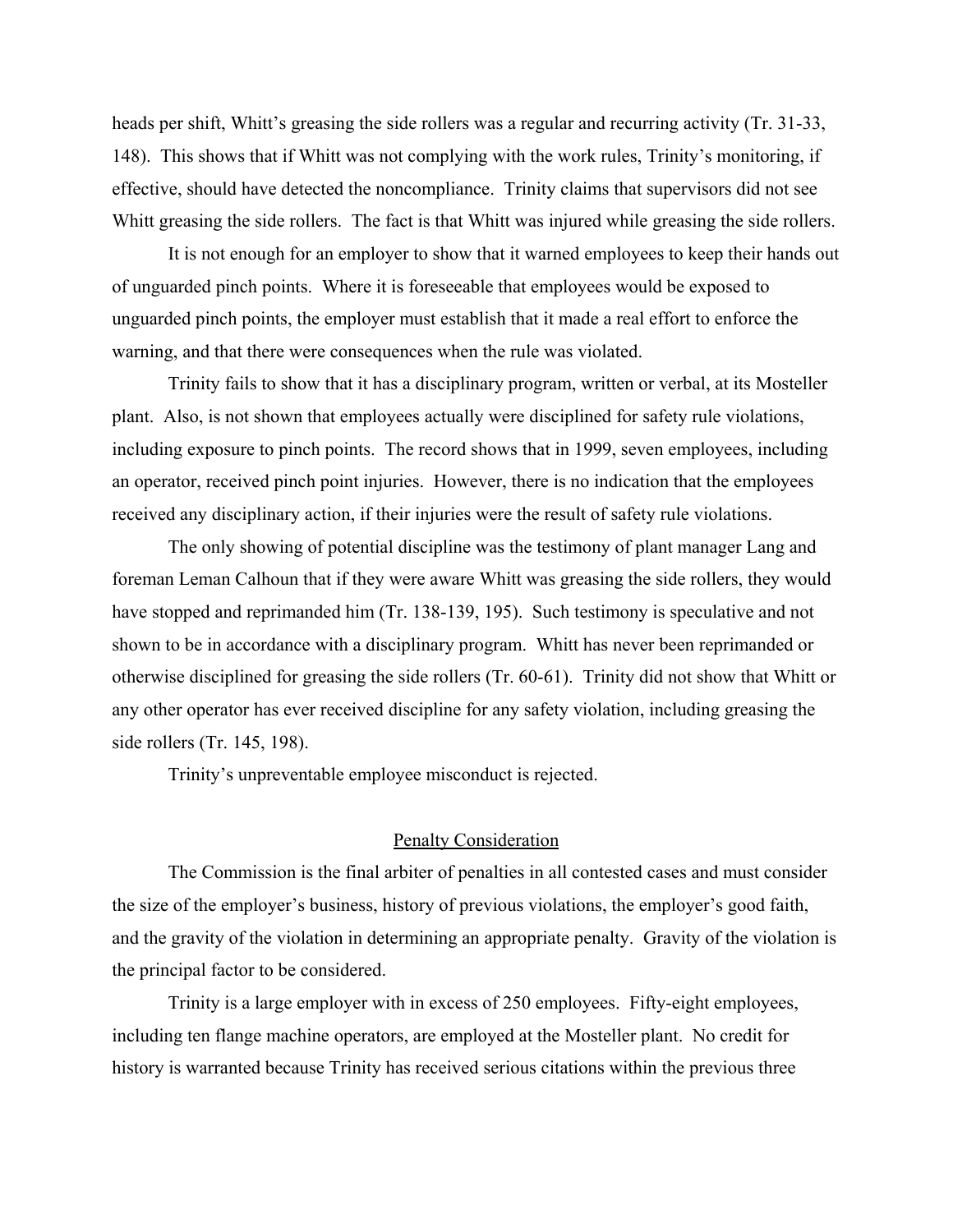heads per shift, Whitt's greasing the side rollers was a regular and recurring activity (Tr. 31-33, 148). This shows that if Whitt was not complying with the work rules, Trinity's monitoring, if effective, should have detected the noncompliance. Trinity claims that supervisors did not see Whitt greasing the side rollers. The fact is that Whitt was injured while greasing the side rollers.

It is not enough for an employer to show that it warned employees to keep their hands out of unguarded pinch points. Where it is foreseeable that employees would be exposed to unguarded pinch points, the employer must establish that it made a real effort to enforce the warning, and that there were consequences when the rule was violated.

Trinity fails to show that it has a disciplinary program, written or verbal, at its Mosteller plant. Also, is not shown that employees actually were disciplined for safety rule violations, including exposure to pinch points. The record shows that in 1999, seven employees, including an operator, received pinch point injuries. However, there is no indication that the employees received any disciplinary action, if their injuries were the result of safety rule violations.

The only showing of potential discipline was the testimony of plant manager Lang and foreman Leman Calhoun that if they were aware Whitt was greasing the side rollers, they would have stopped and reprimanded him (Tr. 138-139, 195). Such testimony is speculative and not shown to be in accordance with a disciplinary program. Whitt has never been reprimanded or otherwise disciplined for greasing the side rollers (Tr. 60-61). Trinity did not show that Whitt or any other operator has ever received discipline for any safety violation, including greasing the side rollers (Tr. 145, 198).

Trinity's unpreventable employee misconduct is rejected.

# Penalty Consideration

The Commission is the final arbiter of penalties in all contested cases and must consider the size of the employer's business, history of previous violations, the employer's good faith, and the gravity of the violation in determining an appropriate penalty. Gravity of the violation is the principal factor to be considered.

Trinity is a large employer with in excess of 250 employees. Fifty-eight employees, including ten flange machine operators, are employed at the Mosteller plant. No credit for history is warranted because Trinity has received serious citations within the previous three